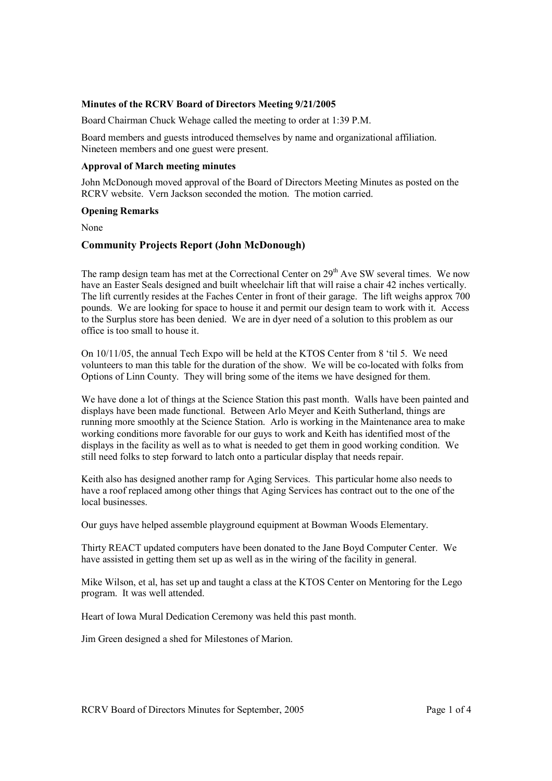#### **Minutes of the RCRV Board of Directors Meeting 9/21/2005**

Board Chairman Chuck Wehage called the meeting to order at 1:39 P.M.

Board members and guests introduced themselves by name and organizational affiliation. Nineteen members and one guest were present.

#### **Approval of March meeting minutes**

John McDonough moved approval of the Board of Directors Meeting Minutes as posted on the RCRV website. Vern Jackson seconded the motion. The motion carried.

#### **Opening Remarks**

None

# **Community Projects Report (John McDonough)**

The ramp design team has met at the Correctional Center on 29<sup>th</sup> Ave SW several times. We now have an Easter Seals designed and built wheelchair lift that will raise a chair 42 inches vertically. The lift currently resides at the Faches Center in front of their garage. The lift weighs approx 700 pounds. We are looking for space to house it and permit our design team to work with it. Access to the Surplus store has been denied. We are in dyer need of a solution to this problem as our office is too small to house it.

On 10/11/05, the annual Tech Expo will be held at the KTOS Center from 8 'til 5. We need volunteers to man this table for the duration of the show. We will be co-located with folks from Options of Linn County. They will bring some of the items we have designed for them.

We have done a lot of things at the Science Station this past month. Walls have been painted and displays have been made functional. Between Arlo Meyer and Keith Sutherland, things are running more smoothly at the Science Station. Arlo is working in the Maintenance area to make working conditions more favorable for our guys to work and Keith has identified most of the displays in the facility as well as to what is needed to get them in good working condition. We still need folks to step forward to latch onto a particular display that needs repair.

Keith also has designed another ramp for Aging Services. This particular home also needs to have a roof replaced among other things that Aging Services has contract out to the one of the local businesses.

Our guys have helped assemble playground equipment at Bowman Woods Elementary.

Thirty REACT updated computers have been donated to the Jane Boyd Computer Center. We have assisted in getting them set up as well as in the wiring of the facility in general.

Mike Wilson, et al, has set up and taught a class at the KTOS Center on Mentoring for the Lego program. It was well attended.

Heart of Iowa Mural Dedication Ceremony was held this past month.

Jim Green designed a shed for Milestones of Marion.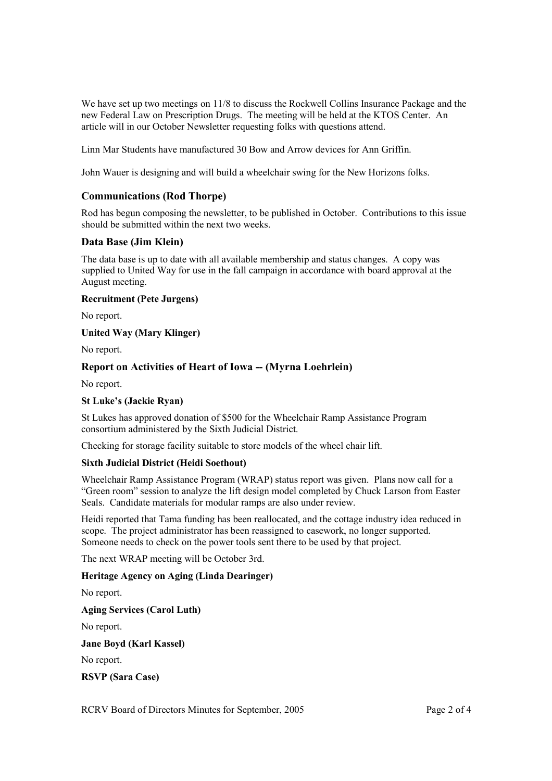We have set up two meetings on  $11/8$  to discuss the Rockwell Collins Insurance Package and the new Federal Law on Prescription Drugs. The meeting will be held at the KTOS Center. An article will in our October Newsletter requesting folks with questions attend.

Linn Mar Students have manufactured 30 Bow and Arrow devices for Ann Griffin.

John Wauer is designing and will build a wheelchair swing for the New Horizons folks.

# **Communications (Rod Thorpe)**

Rod has begun composing the newsletter, to be published in October. Contributions to this issue should be submitted within the next two weeks.

# **Data Base (Jim Klein)**

The data base is up to date with all available membership and status changes. A copy was supplied to United Way for use in the fall campaign in accordance with board approval at the August meeting.

**Recruitment (Pete Jurgens)** 

No report.

**United Way (Mary Klinger)** 

No report.

# **Report on Activities of Heart of Iowa -- (Myrna Loehrlein)**

No report.

## **St Luke's (Jackie Ryan)**

St Lukes has approved donation of \$500 for the Wheelchair Ramp Assistance Program consortium administered by the Sixth Judicial District.

Checking for storage facility suitable to store models of the wheel chair lift.

## **Sixth Judicial District (Heidi Soethout)**

Wheelchair Ramp Assistance Program (WRAP) status report was given. Plans now call for a "Green room" session to analyze the lift design model completed by Chuck Larson from Easter Seals. Candidate materials for modular ramps are also under review.

Heidi reported that Tama funding has been reallocated, and the cottage industry idea reduced in scope. The project administrator has been reassigned to casework, no longer supported. Someone needs to check on the power tools sent there to be used by that project.

The next WRAP meeting will be October 3rd.

## **Heritage Agency on Aging (Linda Dearinger)**

No report.

**Aging Services (Carol Luth)** 

No report.

**Jane Boyd (Karl Kassel)** 

No report.

**RSVP (Sara Case)**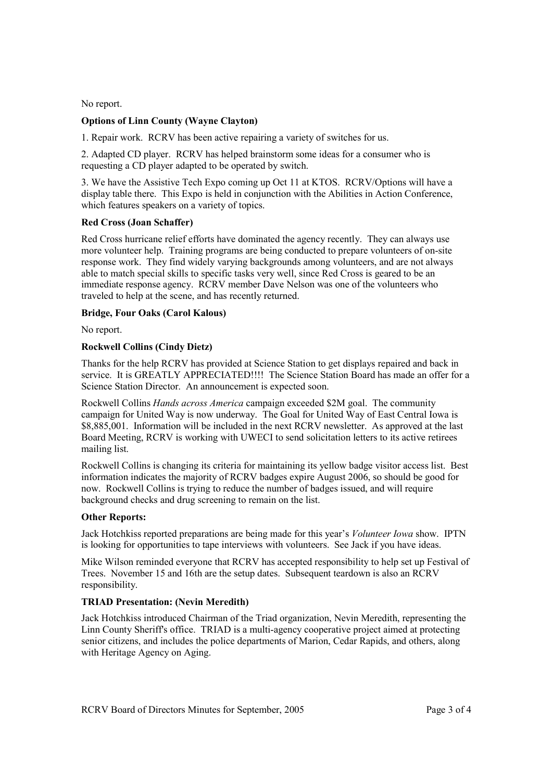No report.

## **Options of Linn County (Wayne Clayton)**

1. Repair work. RCRV has been active repairing a variety of switches for us.

2. Adapted CD player. RCRV has helped brainstorm some ideas for a consumer who is requesting a CD player adapted to be operated by switch.

3. We have the Assistive Tech Expo coming up Oct 11 at KTOS. RCRV/Options will have a display table there. This Expo is held in conjunction with the Abilities in Action Conference, which features speakers on a variety of topics.

## **Red Cross (Joan Schaffer)**

Red Cross hurricane relief efforts have dominated the agency recently. They can always use more volunteer help. Training programs are being conducted to prepare volunteers of on-site response work. They find widely varying backgrounds among volunteers, and are not always able to match special skills to specific tasks very well, since Red Cross is geared to be an immediate response agency. RCRV member Dave Nelson was one of the volunteers who traveled to help at the scene, and has recently returned.

## **Bridge, Four Oaks (Carol Kalous)**

No report.

# **Rockwell Collins (Cindy Dietz)**

Thanks for the help RCRV has provided at Science Station to get displays repaired and back in service. It is GREATLY APPRECIATED!!!! The Science Station Board has made an offer for a Science Station Director. An announcement is expected soon.

Rockwell Collins *Hands across America* campaign exceeded \$2M goal. The community campaign for United Way is now underway. The Goal for United Way of East Central Iowa is \$8,885,001. Information will be included in the next RCRV newsletter. As approved at the last Board Meeting, RCRV is working with UWECI to send solicitation letters to its active retirees mailing list.

Rockwell Collins is changing its criteria for maintaining its yellow badge visitor access list. Best information indicates the majority of RCRV badges expire August 2006, so should be good for now. Rockwell Collins is trying to reduce the number of badges issued, and will require background checks and drug screening to remain on the list.

## **Other Reports:**

Jack Hotchkiss reported preparations are being made for this year's *Volunteer Iowa* show. IPTN is looking for opportunities to tape interviews with volunteers. See Jack if you have ideas.

Mike Wilson reminded everyone that RCRV has accepted responsibility to help set up Festival of Trees. November 15 and 16th are the setup dates. Subsequent teardown is also an RCRV responsibility.

## **TRIAD Presentation: (Nevin Meredith)**

Jack Hotchkiss introduced Chairman of the Triad organization, Nevin Meredith, representing the Linn County Sheriff's office. TRIAD is a multi-agency cooperative project aimed at protecting senior citizens, and includes the police departments of Marion, Cedar Rapids, and others, along with Heritage Agency on Aging.